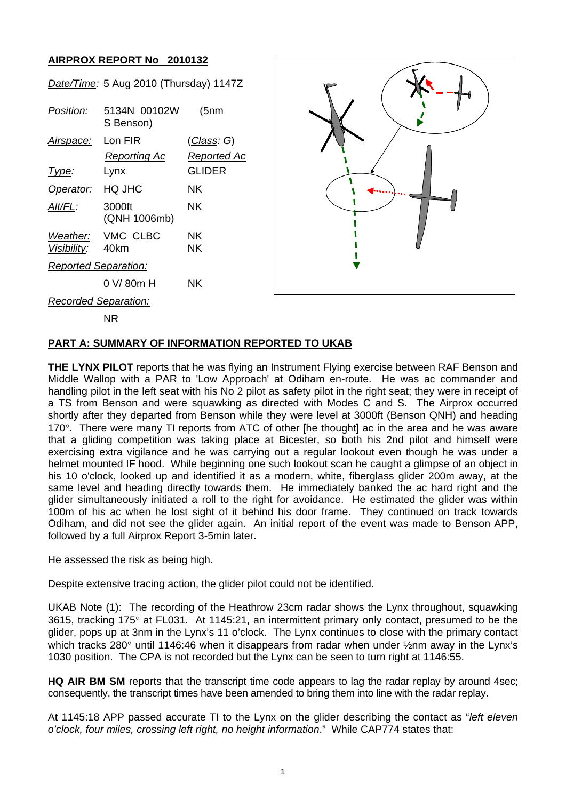## **AIRPROX REPORT No 2010132**

| Date/Time: 5 Aug 2010 (Thursday) 1147Z |                           |                    |  |
|----------------------------------------|---------------------------|--------------------|--|
| Position:                              | 5134N 00102W<br>S Benson) | (5nm)              |  |
| Airspace: Lon FIR                      |                           | <u>(Class</u> : G) |  |
|                                        | Reporting Ac              | Reported Ac        |  |
| Type:                                  | Lynx                      | GLIDER             |  |
| Operator:                              | <b>HQ JHC</b>             | ΝK                 |  |
| AIt/FL:                                | 3000ft<br>(QNH 1006mb)    | NK.                |  |
|                                        | Weather: VMC CLBC         | NK.                |  |
| Visibility: 40km                       |                           | ΝK                 |  |
| <b>Reported Separation:</b>            |                           |                    |  |
|                                        | 0 V/80m H                 | ΝK                 |  |
| <b>Recorded Separation:</b>            |                           |                    |  |



NR

## **PART A: SUMMARY OF INFORMATION REPORTED TO UKAB**

**THE LYNX PILOT** reports that he was flying an Instrument Flying exercise between RAF Benson and Middle Wallop with a PAR to 'Low Approach' at Odiham en-route. He was ac commander and handling pilot in the left seat with his No 2 pilot as safety pilot in the right seat; they were in receipt of a TS from Benson and were squawking as directed with Modes C and S. The Airprox occurred shortly after they departed from Benson while they were level at 3000ft (Benson QNH) and heading 170°. There were many TI reports from ATC of other [he thought] ac in the area and he was aware that a gliding competition was taking place at Bicester, so both his 2nd pilot and himself were exercising extra vigilance and he was carrying out a regular lookout even though he was under a helmet mounted IF hood. While beginning one such lookout scan he caught a glimpse of an object in his 10 o'clock, looked up and identified it as a modern, white, fiberglass glider 200m away, at the same level and heading directly towards them. He immediately banked the ac hard right and the glider simultaneously initiated a roll to the right for avoidance. He estimated the glider was within 100m of his ac when he lost sight of it behind his door frame. They continued on track towards Odiham, and did not see the glider again. An initial report of the event was made to Benson APP, followed by a full Airprox Report 3-5min later.

He assessed the risk as being high.

Despite extensive tracing action, the glider pilot could not be identified.

UKAB Note (1): The recording of the Heathrow 23cm radar shows the Lynx throughout, squawking 3615, tracking 175° at FL031. At 1145:21, an intermittent primary only contact, presumed to be the glider, pops up at 3nm in the Lynx's 11 o'clock. The Lynx continues to close with the primary contact which tracks 280° until 1146:46 when it disappears from radar when under ½nm away in the Lynx's 1030 position. The CPA is not recorded but the Lynx can be seen to turn right at 1146:55.

**HQ AIR BM SM** reports that the transcript time code appears to lag the radar replay by around 4sec; consequently, the transcript times have been amended to bring them into line with the radar replay.

At 1145:18 APP passed accurate TI to the Lynx on the glider describing the contact as "*left eleven o'clock, four miles, crossing left right, no height information*." While CAP774 states that: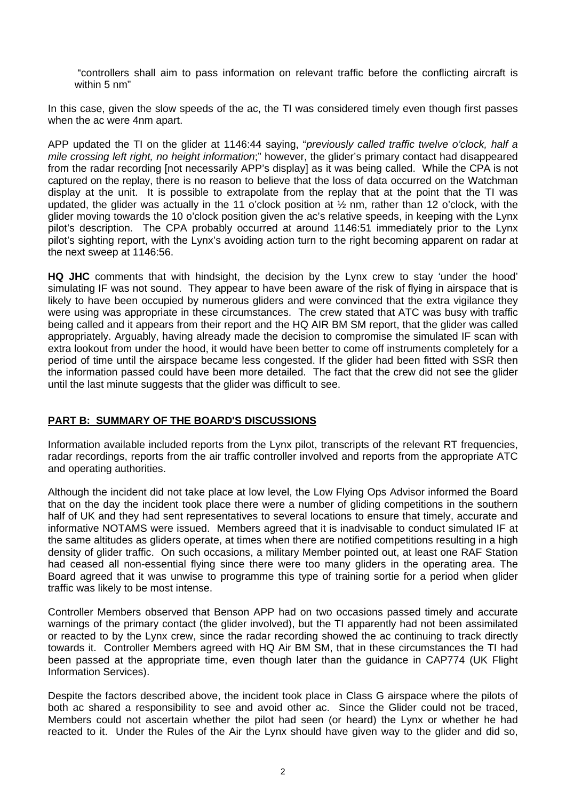"controllers shall aim to pass information on relevant traffic before the conflicting aircraft is within 5 nm"

In this case, given the slow speeds of the ac, the TI was considered timely even though first passes when the ac were 4nm apart.

APP updated the TI on the glider at 1146:44 saying, "*previously called traffic twelve o'clock, half a mile crossing left right, no height information*;" however, the glider's primary contact had disappeared from the radar recording [not necessarily APP's display] as it was being called. While the CPA is not captured on the replay, there is no reason to believe that the loss of data occurred on the Watchman display at the unit. It is possible to extrapolate from the replay that at the point that the TI was updated, the glider was actually in the 11 o'clock position at  $\frac{1}{2}$  nm, rather than 12 o'clock, with the glider moving towards the 10 o'clock position given the ac's relative speeds, in keeping with the Lynx pilot's description. The CPA probably occurred at around 1146:51 immediately prior to the Lynx pilot's sighting report, with the Lynx's avoiding action turn to the right becoming apparent on radar at the next sweep at 1146:56.

**HQ JHC** comments that with hindsight, the decision by the Lynx crew to stay 'under the hood' simulating IF was not sound. They appear to have been aware of the risk of flying in airspace that is likely to have been occupied by numerous gliders and were convinced that the extra vigilance they were using was appropriate in these circumstances. The crew stated that ATC was busy with traffic being called and it appears from their report and the HQ AIR BM SM report, that the glider was called appropriately. Arguably, having already made the decision to compromise the simulated IF scan with extra lookout from under the hood, it would have been better to come off instruments completely for a period of time until the airspace became less congested. If the glider had been fitted with SSR then the information passed could have been more detailed. The fact that the crew did not see the glider until the last minute suggests that the glider was difficult to see.

## **PART B: SUMMARY OF THE BOARD'S DISCUSSIONS**

Information available included reports from the Lynx pilot, transcripts of the relevant RT frequencies, radar recordings, reports from the air traffic controller involved and reports from the appropriate ATC and operating authorities.

Although the incident did not take place at low level, the Low Flying Ops Advisor informed the Board that on the day the incident took place there were a number of gliding competitions in the southern half of UK and they had sent representatives to several locations to ensure that timely, accurate and informative NOTAMS were issued. Members agreed that it is inadvisable to conduct simulated IF at the same altitudes as gliders operate, at times when there are notified competitions resulting in a high density of glider traffic. On such occasions, a military Member pointed out, at least one RAF Station had ceased all non-essential flying since there were too many gliders in the operating area. The Board agreed that it was unwise to programme this type of training sortie for a period when glider traffic was likely to be most intense.

Controller Members observed that Benson APP had on two occasions passed timely and accurate warnings of the primary contact (the glider involved), but the TI apparently had not been assimilated or reacted to by the Lynx crew, since the radar recording showed the ac continuing to track directly towards it. Controller Members agreed with HQ Air BM SM, that in these circumstances the TI had been passed at the appropriate time, even though later than the guidance in CAP774 (UK Flight Information Services).

Despite the factors described above, the incident took place in Class G airspace where the pilots of both ac shared a responsibility to see and avoid other ac. Since the Glider could not be traced, Members could not ascertain whether the pilot had seen (or heard) the Lynx or whether he had reacted to it. Under the Rules of the Air the Lynx should have given way to the glider and did so,